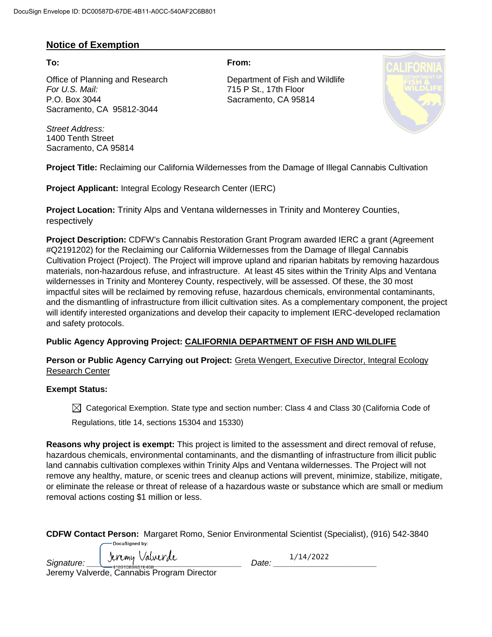### **Notice of Exemption**

Office of Planning and Research Department of Fish and Wildlife *For U.S. Mail:* 715 P St., 17th Floor P.O. Box 3044 Sacramento, CA 95814 Sacramento, CA 95812-3044

*Street Address:* 1400 Tenth Street Sacramento, CA 95814

**To: From:** 



**Project Title:** Reclaiming our California Wildernesses from the Damage of Illegal Cannabis Cultivation

**Project Applicant:** Integral Ecology Research Center (IERC)

**Project Location:** Trinity Alps and Ventana wildernesses in Trinity and Monterey Counties, respectively

**Project Description:** CDFW's Cannabis Restoration Grant Program awarded IERC a grant (Agreement #Q2191202) for the Reclaiming our California Wildernesses from the Damage of Illegal Cannabis Cultivation Project (Project). The Project will improve upland and riparian habitats by removing hazardous materials, non-hazardous refuse, and infrastructure. At least 45 sites within the Trinity Alps and Ventana wildernesses in Trinity and Monterey County, respectively, will be assessed. Of these, the 30 most impactful sites will be reclaimed by removing refuse, hazardous chemicals, environmental contaminants, and the dismantling of infrastructure from illicit cultivation sites. As a complementary component, the project will identify interested organizations and develop their capacity to implement IERC-developed reclamation and safety protocols.

### **Public Agency Approving Project: CALIFORNIA DEPARTMENT OF FISH AND WILDLIFE**

**Person or Public Agency Carrying out Project:** Greta Wengert, Executive Director, Integral Ecology Research Center

### **Exempt Status:**

 $\boxtimes$  Categorical Exemption. State type and section number: Class 4 and Class 30 (California Code of

Regulations, title 14, sections 15304 and 15330)

**Reasons why project is exempt:** This project is limited to the assessment and direct removal of refuse, hazardous chemicals, environmental contaminants, and the dismantling of infrastructure from illicit public land cannabis cultivation complexes within Trinity Alps and Ventana wildernesses. The Project will not remove any healthy, mature, or scenic trees and cleanup actions will prevent, minimize, stabilize, mitigate, or eliminate the release or threat of release of a hazardous waste or substance which are small or medium removal actions costing \$1 million or less.

|                | CDFW Contact Person: Margaret Romo, Senior Environmental Scientist (Specialist), (916) 542-3840 |  |  |
|----------------|-------------------------------------------------------------------------------------------------|--|--|
| DocuSianed by: |                                                                                                 |  |  |

| Valverde<br>Tereny<br>Signature:<br>110010000010100<br><u> 41691069661E406</u><br>الملحو والملليات ومحاوية والمستحدث<br>Nassa alata Dua anasar Dina atau | )ate: | 12022<br>IД |
|----------------------------------------------------------------------------------------------------------------------------------------------------------|-------|-------------|
|----------------------------------------------------------------------------------------------------------------------------------------------------------|-------|-------------|

Jeremy Valverde, Cannabis Program Director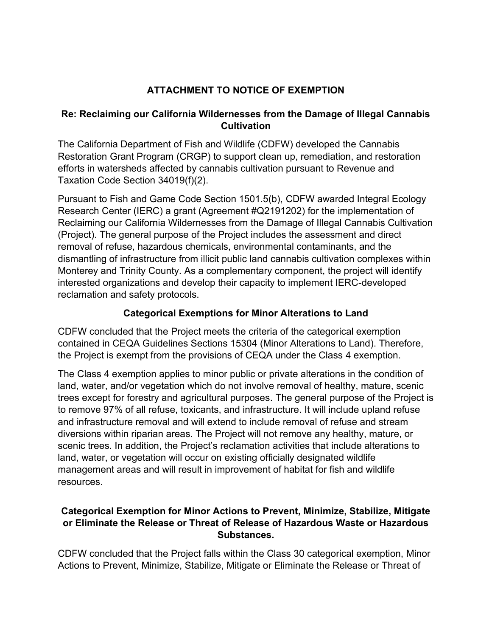# **ATTACHMENT TO NOTICE OF EXEMPTION**

## **Re: Reclaiming our California Wildernesses from the Damage of Illegal Cannabis Cultivation**

The California Department of Fish and Wildlife (CDFW) developed the Cannabis Restoration Grant Program (CRGP) to support clean up, remediation, and restoration efforts in watersheds affected by cannabis cultivation pursuant to Revenue and Taxation Code Section 34019(f)(2).

Pursuant to Fish and Game Code Section 1501.5(b), CDFW awarded Integral Ecology Research Center (IERC) a grant (Agreement #Q2191202) for the implementation of Reclaiming our California Wildernesses from the Damage of Illegal Cannabis Cultivation (Project). The general purpose of the Project includes the assessment and direct removal of refuse, hazardous chemicals, environmental contaminants, and the dismantling of infrastructure from illicit public land cannabis cultivation complexes within Monterey and Trinity County. As a complementary component, the project will identify interested organizations and develop their capacity to implement IERC-developed reclamation and safety protocols.

## **Categorical Exemptions for Minor Alterations to Land**

CDFW concluded that the Project meets the criteria of the categorical exemption contained in CEQA Guidelines Sections 15304 (Minor Alterations to Land). Therefore, the Project is exempt from the provisions of CEQA under the Class 4 exemption.

The Class 4 exemption applies to minor public or private alterations in the condition of land, water, and/or vegetation which do not involve removal of healthy, mature, scenic trees except for forestry and agricultural purposes. The general purpose of the Project is to remove 97% of all refuse, toxicants, and infrastructure. It will include upland refuse and infrastructure removal and will extend to include removal of refuse and stream diversions within riparian areas. The Project will not remove any healthy, mature, or scenic trees. In addition, the Project's reclamation activities that include alterations to land, water, or vegetation will occur on existing officially designated wildlife management areas and will result in improvement of habitat for fish and wildlife resources.

## **Categorical Exemption for Minor Actions to Prevent, Minimize, Stabilize, Mitigate or Eliminate the Release or Threat of Release of Hazardous Waste or Hazardous Substances.**

CDFW concluded that the Project falls within the Class 30 categorical exemption, Minor Actions to Prevent, Minimize, Stabilize, Mitigate or Eliminate the Release or Threat of